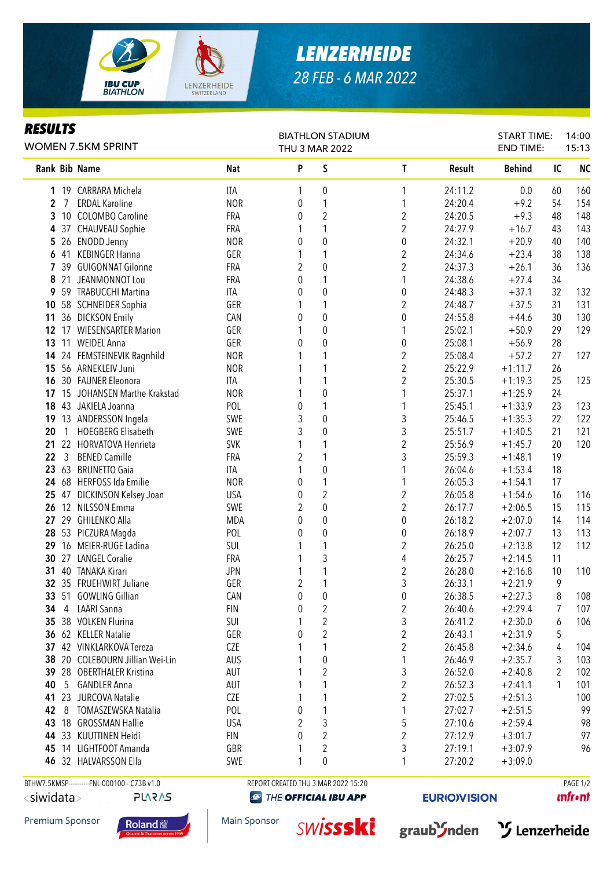

*RESULTS*

## *LENZERHEIDE 28 FEB - 6 MAR 2022*

BIATHLON STADIUM

## Rank Bib Name Nat Nat P S T Result Behind IC NC 1 19 CARRARA Michela ITA 1 0 1 24:11.2 0.0 60 160 2 7 ERDAL Karoline NOR 0 1 1 24:20.4 +9.2 54 154 **3** 10 COLOMBO Caroline **FRA** 0 2 2 24:20.5 +9.3 48 148 4 37 CHAUVEAU Sophie FRA 1 1 2 24:27.9 +16.7 43 143 1 5 26 ENODD Jenny 140 CONTROLLER SER 1 200 0 0 24:32.1 +20.9 40 140 6 41 KEBINGER Hanna GER 1 1 2 24:34.6 +23.4 38 138 7 39 GUIGONNAT Gilonne FRA 2 0 2 24:37.3 +26.1 36 136 8 21 JEANMONNOT Lou CRA 0 1 24:38.6 +27.4 34 **9** 59 TRABUCCHI Martina **ITA** 0 0 0 24:48.3 +37.1 32 132 10 58 SCHNEIDER Sophia GER 1 1 2 24:48.7 +37.5 31 131 11 36 DICKSON Emily **CAN** 0 0 0 24:55.8 +44.6 30 130 12 17 WIESENSARTER Marion 650 GER 1 0 1 25:02.1 +50.9 29 129 13 11 WEIDEL Anna **GER** 0 0 0 0 25:08.1 +56.9 28 14 24 FEMSTEINEVIK Ragnhild MOR 1 1 1 2 25:08.4 +57.2 27 127 15 56 ARNEKLEIV Juni NOR 1 1 2 25:22.9 +1:11.7 26 16 30 FAUNER Eleonora ITA 1 1 2 25:30.5 +1:19.3 25 125 17 15 JOHANSEN Marthe Krakstad NOR 1 0 1 25:37.1 +1:25.9 24 18 43 JAKIELA Joanna **POL 1 1 25:45.1** +1:33.9 23 123 19 13 ANDERSSON Ingela SWE 3 0 3 25:46.5 +1:35.3 22 122 20 1 HOEGBERG Elisabeth SWE 3 0 3 25:51.7 +1:40.5 21 121 21 22 HORVATOVA Henrieta SVK 1 1 2 25:56.9 +1:45.7 20 120 22 3 BENED Camille FRA 2 1 3 25:59.3 +1:48.1 19 23 63 BRUNETTO Gaia **ITA** 1 0 1 26:04.6 +1:53.4 18 24 68 HERFOSS Ida Emilie 17 NOR 0 1 1 26:05.3 +1:54.1 17 25 47 DICKINSON Kelsey Joan USA 0 2 2 26:05.8 +1:54.6 16 116 **26** 12 NILSSON Emma SWE 2 0 26:17.7 +2:06.5 15 115 27 29 GHILENKO Alla MDA 0 0 0 26:18.2 +2:07.0 14 114 28 53 PICZURA Magda POL 0 0 0 26:18.9 +2:07.7 13 113 29 16 MEIER-RUGE Ladina SUI 1 1 2 26:25.0 +2:13.8 12 112 **30** 27 LANGEL Coralie **FRA** 1 3 4 26:25.7 +2:14.5 11 31 40 TANAKA Kirari JPN 1 1 2 26:28.0 +2:16.8 10 110 **32** 35 FRUEHWIRT Juliane GER 2 1 3 26:33.1 +2:21.9 9 33 51 GOWLING Gillian CAN 0 0 0 26:38.5 +2:27.3 8 108 34 4 LAARI Sanna FIN 0 2 2 26:40.6 +2:29.4 7 107 **35** 38 VOLKEN Flurina **SUI 1 2** 3 26:41.2 +2:30.0 6 106 36 62 KELLER Natalie GER 0 2 2 26:43.1 +2:31.9 5 37 42 VINKLARKOVA Tereza CZE 1 1 2 26:45.8 +2:34.6 4 104 38 20 COLEBOURN Jillian Wei-Lin AUS 1 0 1 26:46.9 +2:35.7 3 103 39 28 OBERTHALER Kristina AUT 1 2 3 26:52.0 +2:40.8 2 102 **40** 5 GANDLER Anna **AUT** 1 1 1 2 26:52.3 +2:41.1 1 101 **41** 23 JURCOVA Natalie **COLLECT 1** 1 2 27:02.5 + 2:51.3 100 WOMEN 7.5KM SPRINT THU 3 MAR 2022 END TIME: 15:13

 18 GROSSMAN Hallie USA 2 3 5 27:10.6 +2:59.4 98 33 KUUTTINEN Heidi FIN 0 2 2 27:12.9 +3:01.7 97 14 LIGHTFOOT Amanda GBR 1 2 3 27:19.1 +3:07.9 96 32 HALVARSSON Ella SWE 1 0 1 27:20.2 +3:09.0

BTHW7.5KMSP-----------FNL-000100-- C73B v1.0 REPORT CREATED THU 3 MAR 2022 15:20 PAGE 1/2

**PLARAS** 

**@ THE OFFICIAL IBU APP** 

**42** 8 TOMASZEWSKA Natalia **POL 1** 0 1 1 1 1 1 1 27:02.7 +2:51.5 99

**EURIO)VISION** 

**unfront** 

Premium Sponsor

<siwidata>









START TIME:

14:00